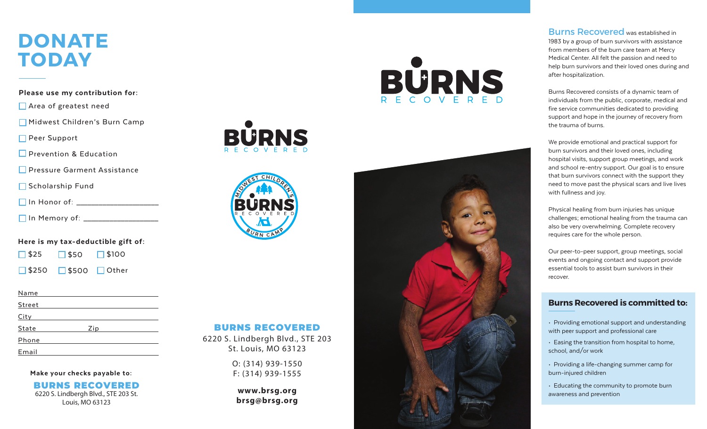# **DONATE TODAY**

Please use my contribution for:

■ Area of greatest need

Midwest Children's Burn Camp

Peer Support

**Prevention & Education** 

**Pressure Garment Assistance** 

Scholarship Fund

| , In Honor of: I |
|------------------|
|------------------|

In Memory of: \_\_\_\_\_\_\_\_\_\_\_\_\_\_\_\_\_\_\_\_

Here is my tax-deductible gift of:

 $\Box$  \$25  $\Box$ \$50  $\Box$  \$100

 $\Box$  \$250 \$500 <mark>□</mark> Other

| Name          |     |  |
|---------------|-----|--|
| <b>Street</b> |     |  |
| <b>City</b>   |     |  |
| State         | Zip |  |
| Phone         |     |  |
| Email         |     |  |

Make your checks payable to:

BU RNS RE C O VERED 6220 S. Lindbergh Blvd., STE 203 St. Louis, MO 63123





#### BU RNS RECOVERED

6220 S. Lindbergh Blvd., STE 203 St. Louis, MO 63123

O: (314) 939-1550 F: (314) 939-1555

**www.brsg.org brsg@brsg.org**





**Burns Recovered** was established in

1983 by a group of burn survivors with assistance from members of the burn care team at Mercy Medical Center. All felt the passion and need to help burn survivors and their loved ones during and after hospitalization.

Burns Recovered consists of a dynamic team of individuals from the public, corporate, medical and fire service communities dedicated to providing support and hope in the journey of recovery from the trauma of burns.

We provide emotional and practical support for burn survivors and their loved ones, including hospital visits, support group meetings, and work and school re-entry support. Our goal is to ensure that burn survivors connect with the support they need to move past the physical scars and live lives with fullness and joy.

Physical healing from burn injuries has unique challenges; emotional healing from the trauma can also be very overwhelming. Complete recovery requires care for the whole person.

Our peer-to-peer support, group meetings, social events and ongoing contact and support provide essential tools to assist burn survivors in their recover.

## **Burns Recovered is committed to:**

- Providing emotional support and understanding with peer support and professional care
- Easing the transition from hospital to home, school, and/or work
- Providing a life-changing summer camp for burn-injured children
- Educating the community to promote burn awareness and prevention